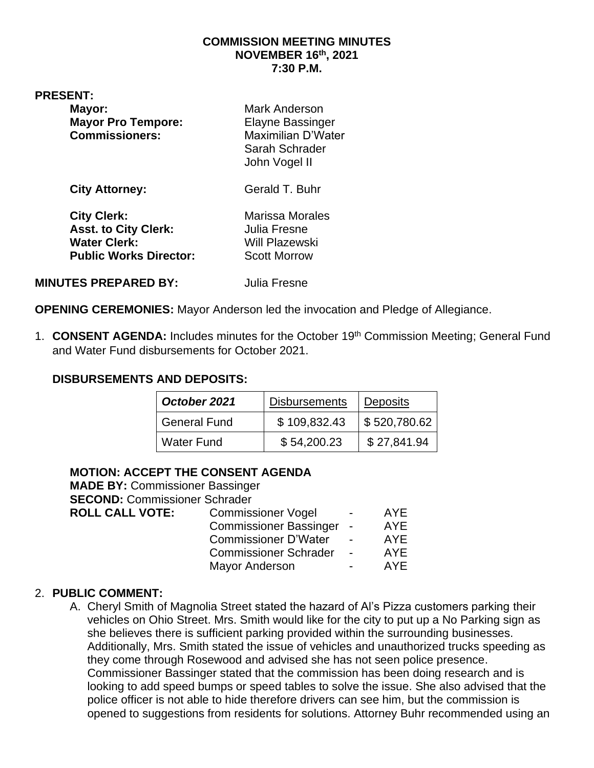#### **COMMISSION MEETING MINUTES NOVEMBER 16th, 2021 7:30 P.M.**

#### **PRESENT:**

| Mayor:<br><b>Mayor Pro Tempore:</b><br><b>Commissioners:</b>                                              | <b>Mark Anderson</b><br><b>Elayne Bassinger</b><br>Maximilian D'Water<br>Sarah Schrader<br>John Vogel II |
|-----------------------------------------------------------------------------------------------------------|----------------------------------------------------------------------------------------------------------|
| <b>City Attorney:</b>                                                                                     | Gerald T. Buhr                                                                                           |
| <b>City Clerk:</b><br><b>Asst. to City Clerk:</b><br><b>Water Clerk:</b><br><b>Public Works Director:</b> | <b>Marissa Morales</b><br>Julia Fresne<br><b>Will Plazewski</b><br><b>Scott Morrow</b>                   |

**MINUTES PREPARED BY:** Julia Fresne

**OPENING CEREMONIES:** Mayor Anderson led the invocation and Pledge of Allegiance.

1. **CONSENT AGENDA:** Includes minutes for the October 19th Commission Meeting; General Fund and Water Fund disbursements for October 2021.

#### **DISBURSEMENTS AND DEPOSITS:**

| October 2021        | <b>Disbursements</b> | <b>Deposits</b>             |
|---------------------|----------------------|-----------------------------|
| <b>General Fund</b> | \$109,832.43         | $\frac{1}{2}$ \$ 520,780.62 |
| <b>Water Fund</b>   | \$54,200.23          | \$27,841.94                 |

#### **MOTION: ACCEPT THE CONSENT AGENDA**

| <b>MADE BY: Commissioner Bassinger</b> |                               |                          |            |
|----------------------------------------|-------------------------------|--------------------------|------------|
| <b>SECOND: Commissioner Schrader</b>   |                               |                          |            |
| <b>ROLL CALL VOTE:</b>                 | <b>Commissioner Vogel</b>     | -                        | AYE        |
|                                        | <b>Commissioner Bassinger</b> | $\overline{\phantom{a}}$ | <b>AYE</b> |
|                                        | <b>Commissioner D'Water</b>   | $\overline{\phantom{a}}$ | <b>AYE</b> |
|                                        | <b>Commissioner Schrader</b>  | $\sim$                   | <b>AYE</b> |
|                                        | <b>Mayor Anderson</b>         |                          | <b>AYE</b> |
|                                        |                               |                          |            |

#### 2. **PUBLIC COMMENT:**

A. Cheryl Smith of Magnolia Street stated the hazard of Al's Pizza customers parking their vehicles on Ohio Street. Mrs. Smith would like for the city to put up a No Parking sign as she believes there is sufficient parking provided within the surrounding businesses. Additionally, Mrs. Smith stated the issue of vehicles and unauthorized trucks speeding as they come through Rosewood and advised she has not seen police presence. Commissioner Bassinger stated that the commission has been doing research and is looking to add speed bumps or speed tables to solve the issue. She also advised that the police officer is not able to hide therefore drivers can see him, but the commission is opened to suggestions from residents for solutions. Attorney Buhr recommended using an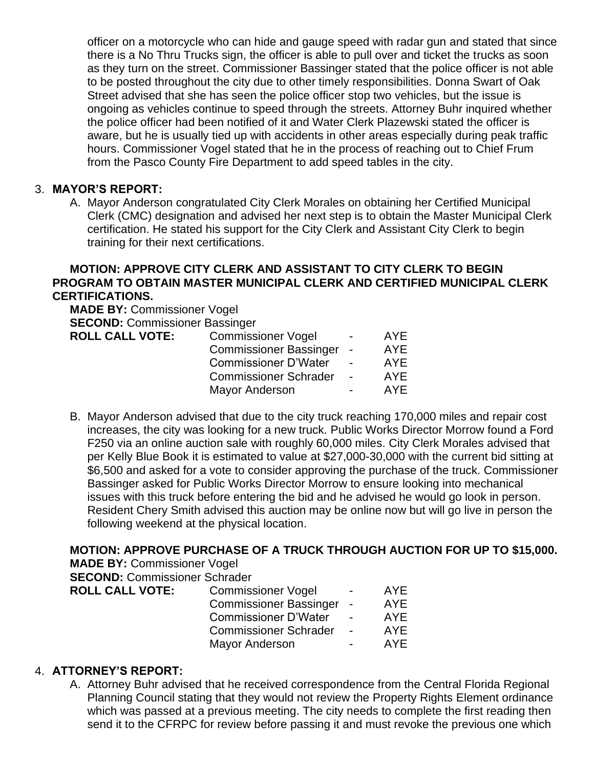officer on a motorcycle who can hide and gauge speed with radar gun and stated that since there is a No Thru Trucks sign, the officer is able to pull over and ticket the trucks as soon as they turn on the street. Commissioner Bassinger stated that the police officer is not able to be posted throughout the city due to other timely responsibilities. Donna Swart of Oak Street advised that she has seen the police officer stop two vehicles, but the issue is ongoing as vehicles continue to speed through the streets. Attorney Buhr inquired whether the police officer had been notified of it and Water Clerk Plazewski stated the officer is aware, but he is usually tied up with accidents in other areas especially during peak traffic hours. Commissioner Vogel stated that he in the process of reaching out to Chief Frum from the Pasco County Fire Department to add speed tables in the city.

#### 3. **MAYOR'S REPORT:**

A. Mayor Anderson congratulated City Clerk Morales on obtaining her Certified Municipal Clerk (CMC) designation and advised her next step is to obtain the Master Municipal Clerk certification. He stated his support for the City Clerk and Assistant City Clerk to begin training for their next certifications.

#### **MOTION: APPROVE CITY CLERK AND ASSISTANT TO CITY CLERK TO BEGIN PROGRAM TO OBTAIN MASTER MUNICIPAL CLERK AND CERTIFIED MUNICIPAL CLERK CERTIFICATIONS.**

**MADE BY:** Commissioner Vogel **SECOND:** Commissioner Bassinger **ROLL CALL VOTE:** Commissioner Vogel - AYE

| . VOTE: | Commissioner Vogel            |                          | AYE        |
|---------|-------------------------------|--------------------------|------------|
|         | <b>Commissioner Bassinger</b> |                          | <b>AYE</b> |
|         | <b>Commissioner D'Water</b>   | $\overline{\phantom{0}}$ | AYF        |
|         | <b>Commissioner Schrader</b>  |                          | AYF        |
|         | Mayor Anderson                |                          | AYF        |
|         |                               |                          |            |

B. Mayor Anderson advised that due to the city truck reaching 170,000 miles and repair cost increases, the city was looking for a new truck. Public Works Director Morrow found a Ford F250 via an online auction sale with roughly 60,000 miles. City Clerk Morales advised that per Kelly Blue Book it is estimated to value at \$27,000-30,000 with the current bid sitting at \$6,500 and asked for a vote to consider approving the purchase of the truck. Commissioner Bassinger asked for Public Works Director Morrow to ensure looking into mechanical issues with this truck before entering the bid and he advised he would go look in person. Resident Chery Smith advised this auction may be online now but will go live in person the following weekend at the physical location.

# **MOTION: APPROVE PURCHASE OF A TRUCK THROUGH AUCTION FOR UP TO \$15,000.**

**MADE BY:** Commissioner Vogel

**SECOND:** Commissioner Schrader

| <b>Commissioner Vogel</b>    | $\blacksquare$           | AYE.                     |
|------------------------------|--------------------------|--------------------------|
|                              |                          | <b>AYE</b>               |
| <b>Commissioner D'Water</b>  | $\overline{\phantom{0}}$ | AYF                      |
| <b>Commissioner Schrader</b> | $\overline{\phantom{0}}$ | AYF                      |
| <b>Mayor Anderson</b>        | $\overline{\phantom{0}}$ | AYF                      |
|                              |                          | Commissioner Bassinger - |

# 4. **ATTORNEY'S REPORT:**

A. Attorney Buhr advised that he received correspondence from the Central Florida Regional Planning Council stating that they would not review the Property Rights Element ordinance which was passed at a previous meeting. The city needs to complete the first reading then send it to the CFRPC for review before passing it and must revoke the previous one which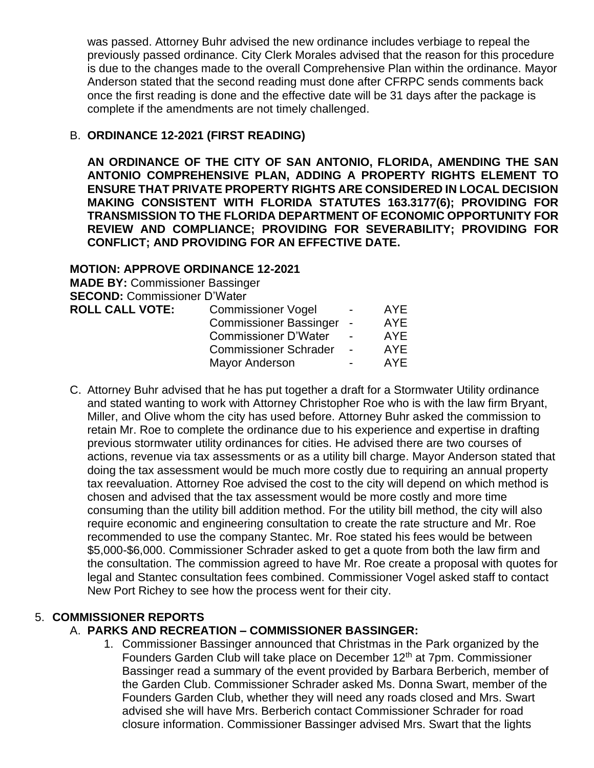was passed. Attorney Buhr advised the new ordinance includes verbiage to repeal the previously passed ordinance. City Clerk Morales advised that the reason for this procedure is due to the changes made to the overall Comprehensive Plan within the ordinance. Mayor Anderson stated that the second reading must done after CFRPC sends comments back once the first reading is done and the effective date will be 31 days after the package is complete if the amendments are not timely challenged.

# B. **ORDINANCE 12-2021 (FIRST READING)**

**AN ORDINANCE OF THE CITY OF SAN ANTONIO, FLORIDA, AMENDING THE SAN ANTONIO COMPREHENSIVE PLAN, ADDING A PROPERTY RIGHTS ELEMENT TO ENSURE THAT PRIVATE PROPERTY RIGHTS ARE CONSIDERED IN LOCAL DECISION MAKING CONSISTENT WITH FLORIDA STATUTES 163.3177(6); PROVIDING FOR TRANSMISSION TO THE FLORIDA DEPARTMENT OF ECONOMIC OPPORTUNITY FOR REVIEW AND COMPLIANCE; PROVIDING FOR SEVERABILITY; PROVIDING FOR CONFLICT; AND PROVIDING FOR AN EFFECTIVE DATE.**

# **MOTION: APPROVE ORDINANCE 12-2021**

| AYE        |
|------------|
| <b>AYE</b> |
| <b>AYE</b> |
| <b>AYE</b> |
| AYE        |
|            |

C. Attorney Buhr advised that he has put together a draft for a Stormwater Utility ordinance and stated wanting to work with Attorney Christopher Roe who is with the law firm Bryant, Miller, and Olive whom the city has used before. Attorney Buhr asked the commission to retain Mr. Roe to complete the ordinance due to his experience and expertise in drafting previous stormwater utility ordinances for cities. He advised there are two courses of actions, revenue via tax assessments or as a utility bill charge. Mayor Anderson stated that doing the tax assessment would be much more costly due to requiring an annual property tax reevaluation. Attorney Roe advised the cost to the city will depend on which method is chosen and advised that the tax assessment would be more costly and more time consuming than the utility bill addition method. For the utility bill method, the city will also require economic and engineering consultation to create the rate structure and Mr. Roe recommended to use the company Stantec. Mr. Roe stated his fees would be between \$5,000-\$6,000. Commissioner Schrader asked to get a quote from both the law firm and the consultation. The commission agreed to have Mr. Roe create a proposal with quotes for legal and Stantec consultation fees combined. Commissioner Vogel asked staff to contact New Port Richey to see how the process went for their city.

# 5. **COMMISSIONER REPORTS**

# A. **PARKS AND RECREATION – COMMISSIONER BASSINGER:**

1. Commissioner Bassinger announced that Christmas in the Park organized by the Founders Garden Club will take place on December 12<sup>th</sup> at 7pm. Commissioner Bassinger read a summary of the event provided by Barbara Berberich, member of the Garden Club. Commissioner Schrader asked Ms. Donna Swart, member of the Founders Garden Club, whether they will need any roads closed and Mrs. Swart advised she will have Mrs. Berberich contact Commissioner Schrader for road closure information. Commissioner Bassinger advised Mrs. Swart that the lights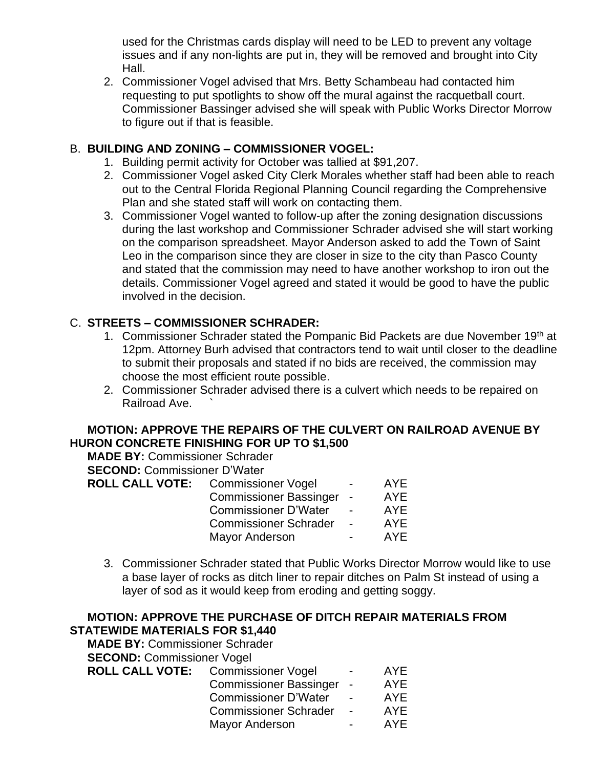used for the Christmas cards display will need to be LED to prevent any voltage issues and if any non-lights are put in, they will be removed and brought into City Hall.

2. Commissioner Vogel advised that Mrs. Betty Schambeau had contacted him requesting to put spotlights to show off the mural against the racquetball court. Commissioner Bassinger advised she will speak with Public Works Director Morrow to figure out if that is feasible.

#### B. **BUILDING AND ZONING – COMMISSIONER VOGEL:**

- 1. Building permit activity for October was tallied at \$91,207.
- 2. Commissioner Vogel asked City Clerk Morales whether staff had been able to reach out to the Central Florida Regional Planning Council regarding the Comprehensive Plan and she stated staff will work on contacting them.
- 3. Commissioner Vogel wanted to follow-up after the zoning designation discussions during the last workshop and Commissioner Schrader advised she will start working on the comparison spreadsheet. Mayor Anderson asked to add the Town of Saint Leo in the comparison since they are closer in size to the city than Pasco County and stated that the commission may need to have another workshop to iron out the details. Commissioner Vogel agreed and stated it would be good to have the public involved in the decision.

# C. **STREETS – COMMISSIONER SCHRADER:**

- 1. Commissioner Schrader stated the Pompanic Bid Packets are due November 19<sup>th</sup> at 12pm. Attorney Burh advised that contractors tend to wait until closer to the deadline to submit their proposals and stated if no bids are received, the commission may choose the most efficient route possible.
- 2. Commissioner Schrader advised there is a culvert which needs to be repaired on Railroad Ave.

# **MOTION: APPROVE THE REPAIRS OF THE CULVERT ON RAILROAD AVENUE BY HURON CONCRETE FINISHING FOR UP TO \$1,500**

**MADE BY:** Commissioner Schrader

**SECOND:** Commissioner D'Water

| <b>ROLL CALL VOTE:</b> | <b>Commissioner Vogel</b>     | $\overline{\phantom{0}}$ | AYE        |
|------------------------|-------------------------------|--------------------------|------------|
|                        | <b>Commissioner Bassinger</b> |                          | <b>AYE</b> |
|                        | <b>Commissioner D'Water</b>   | $\overline{\phantom{0}}$ | AYE        |
|                        | <b>Commissioner Schrader</b>  | $\overline{a}$           | AYF        |
|                        | Mayor Anderson                | $\blacksquare$           | AYF        |
|                        |                               |                          |            |

3. Commissioner Schrader stated that Public Works Director Morrow would like to use a base layer of rocks as ditch liner to repair ditches on Palm St instead of using a layer of sod as it would keep from eroding and getting soggy.

#### **MOTION: APPROVE THE PURCHASE OF DITCH REPAIR MATERIALS FROM STATEWIDE MATERIALS FOR \$1,440**

**MADE BY:** Commissioner Schrader **SECOND:** Commissioner Vogel **ROLL CALL VOTE:** Commissioner Vogel - AYE Commissioner Bassinger - AYE Commissioner D'Water - AYE Commissioner Schrader - AYE Mayor Anderson **- AYE**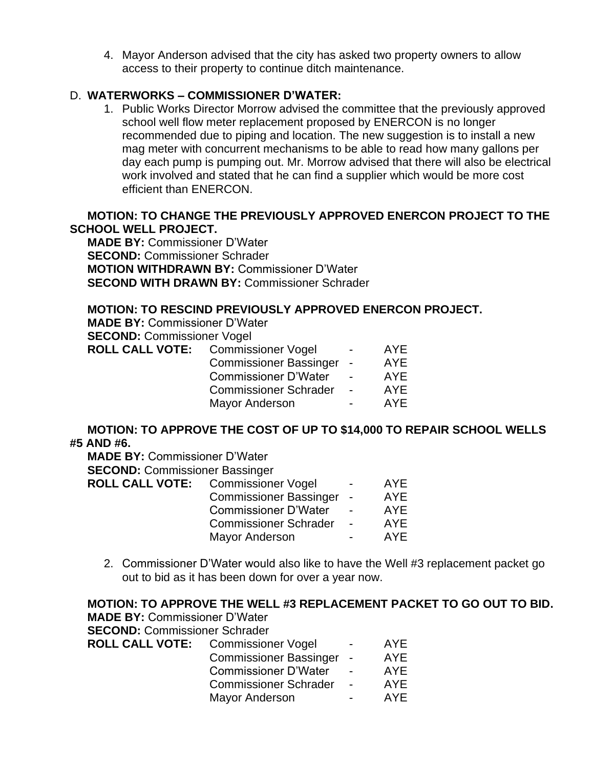4. Mayor Anderson advised that the city has asked two property owners to allow access to their property to continue ditch maintenance.

# D. **WATERWORKS – COMMISSIONER D'WATER:**

1. Public Works Director Morrow advised the committee that the previously approved school well flow meter replacement proposed by ENERCON is no longer recommended due to piping and location. The new suggestion is to install a new mag meter with concurrent mechanisms to be able to read how many gallons per day each pump is pumping out. Mr. Morrow advised that there will also be electrical work involved and stated that he can find a supplier which would be more cost efficient than ENERCON.

# **MOTION: TO CHANGE THE PREVIOUSLY APPROVED ENERCON PROJECT TO THE SCHOOL WELL PROJECT.**

**MADE BY:** Commissioner D'Water **SECOND:** Commissioner Schrader **MOTION WITHDRAWN BY:** Commissioner D'Water **SECOND WITH DRAWN BY:** Commissioner Schrader

#### **MOTION: TO RESCIND PREVIOUSLY APPROVED ENERCON PROJECT.**

**MADE BY:** Commissioner D'Water **SECOND:** Commissioner Vogel

| <b>ROLL CALL VOTE:</b> Commissioner Vogel | $\blacksquare$           | AYE |
|-------------------------------------------|--------------------------|-----|
| <b>Commissioner Bassinger</b>             | $\sim$                   | AYE |
| <b>Commissioner D'Water</b>               | $\overline{\phantom{0}}$ | AYE |
| <b>Commissioner Schrader</b>              | $\overline{a}$           | AYE |
| <b>Mayor Anderson</b>                     | $\blacksquare$           | AYE |

#### **MOTION: TO APPROVE THE COST OF UP TO \$14,000 TO REPAIR SCHOOL WELLS #5 AND #6.**

**MADE BY:** Commissioner D'Water

**SECOND:** Commissioner Bassinger

| <b>ROLL CALL VOTE:</b> | <b>Commissioner Vogel</b>     | $\sim$                   | AYE        |
|------------------------|-------------------------------|--------------------------|------------|
|                        | <b>Commissioner Bassinger</b> | $\blacksquare$           | <b>AYE</b> |
|                        | <b>Commissioner D'Water</b>   | $\overline{\phantom{0}}$ | AYE        |
|                        | <b>Commissioner Schrader</b>  | $\sim$                   | AYF        |
|                        | Mayor Anderson                | $\blacksquare$           | AYE        |
|                        |                               |                          |            |

2. Commissioner D'Water would also like to have the Well #3 replacement packet go out to bid as it has been down for over a year now.

|                                      |                                                     | <b>MOTION: TO APPROVE THE WELL #3 REPLACEMENT PACKET TO GO OUT TO BID.</b> |
|--------------------------------------|-----------------------------------------------------|----------------------------------------------------------------------------|
| <b>MADE BY: Commissioner D'Water</b> |                                                     |                                                                            |
| <b>SECOND: Commissioner Schrader</b> |                                                     |                                                                            |
|                                      | <b>ROLL CALL VOTE:</b> Commissioner Vogel -         | AYE                                                                        |
|                                      | Commissioner Bassinger - AYE                        |                                                                            |
|                                      | Commissioner D'Water - AYE                          |                                                                            |
|                                      | Commissioner Schrader - AYE                         |                                                                            |
|                                      | Mayor Anderson<br><b>Contract Contract Contract</b> | <b>AYE</b>                                                                 |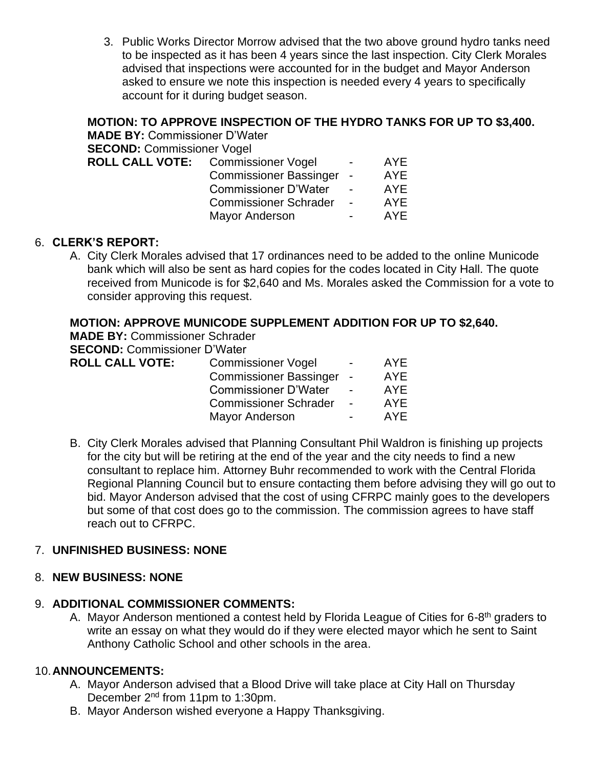3. Public Works Director Morrow advised that the two above ground hydro tanks need to be inspected as it has been 4 years since the last inspection. City Clerk Morales advised that inspections were accounted for in the budget and Mayor Anderson asked to ensure we note this inspection is needed every 4 years to specifically account for it during budget season.

#### **MOTION: TO APPROVE INSPECTION OF THE HYDRO TANKS FOR UP TO \$3,400. MADE BY:** Commission

| <b>MADE BY:</b> Commissioner D Water |                               |                          |     |
|--------------------------------------|-------------------------------|--------------------------|-----|
| <b>SECOND: Commissioner Vogel</b>    |                               |                          |     |
| ROLL CALL VOTE: Commissioner Vogel   |                               |                          | AYE |
|                                      | <b>Commissioner Bassinger</b> | $\sim$                   | AYE |
|                                      | <b>Commissioner D'Water</b>   |                          | AYE |
|                                      | <b>Commissioner Schrader</b>  | $\overline{\phantom{0}}$ | AYE |
|                                      | <b>Mayor Anderson</b>         |                          | AYE |
|                                      |                               |                          |     |

#### 6. **CLERK'S REPORT:**

A. City Clerk Morales advised that 17 ordinances need to be added to the online Municode bank which will also be sent as hard copies for the codes located in City Hall. The quote received from Municode is for \$2,640 and Ms. Morales asked the Commission for a vote to consider approving this request.

#### **MOTION: APPROVE MUNICODE SUPPLEMENT ADDITION FOR UP TO \$2,640.**

**MADE BY:** Commissioner Schrader **SECOND:** Commissioner D'Water

| $\bullet$              |                           |            |
|------------------------|---------------------------|------------|
| <b>ROLL CALL VOTE:</b> | <b>Commissioner Vogel</b> | <b>AYE</b> |
|                        | Commissionar Rassinger    | ΔVF        |

| <b>POTTITIOUSION</b>          |                          | .          |
|-------------------------------|--------------------------|------------|
| <b>Commissioner Bassinger</b> |                          | <b>AYE</b> |
| <b>Commissioner D'Water</b>   |                          | <b>AYE</b> |
| <b>Commissioner Schrader</b>  | $\overline{\phantom{0}}$ | <b>AYE</b> |
| <b>Mayor Anderson</b>         |                          | <b>AYE</b> |
|                               |                          |            |

B. City Clerk Morales advised that Planning Consultant Phil Waldron is finishing up projects for the city but will be retiring at the end of the year and the city needs to find a new consultant to replace him. Attorney Buhr recommended to work with the Central Florida Regional Planning Council but to ensure contacting them before advising they will go out to bid. Mayor Anderson advised that the cost of using CFRPC mainly goes to the developers but some of that cost does go to the commission. The commission agrees to have staff reach out to CFRPC.

# 7. **UNFINISHED BUSINESS: NONE**

#### 8. **NEW BUSINESS: NONE**

#### 9. **ADDITIONAL COMMISSIONER COMMENTS:**

A. Mayor Anderson mentioned a contest held by Florida League of Cities for 6-8<sup>th</sup> graders to write an essay on what they would do if they were elected mayor which he sent to Saint Anthony Catholic School and other schools in the area.

#### 10.**ANNOUNCEMENTS:**

- A. Mayor Anderson advised that a Blood Drive will take place at City Hall on Thursday December 2nd from 11pm to 1:30pm.
- B. Mayor Anderson wished everyone a Happy Thanksgiving.